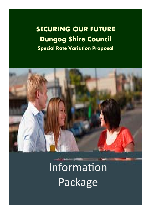**SECURING OUR FUTURE Dungog Shire Council Special Rate Variation Proposal** 



**Information** Package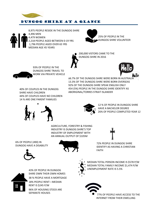

#### DUNGOG shire at a glance

8,975 PEOPLE RESIDE IN THE DUNGOG SHIRE 4,496 MEN 4,479 WOMEN 2,218 PEOPLE AGED BETWEEN 0‐19 YRS 1,796 PEOPLE AGED OVER 65 YRS MEDIAN AGE 45 YEARS





200,000 VISTORS CAME TO THE DUNGOG SHIRE IN 2016



93% OF PEOPLE IN THE DUNGOG SHIRE TRAVEL TO WORK VIA PRIVATE VEHICLE

86.7% OF THE DUNGOG SHIRE WERE BORN IN AUSTRALI 13.3% OF THE DUNGOG SHIRE WERE BORN OVERSEAS 92% OF THE DUNGOG SHIRE SPEAK ENGLISH ONLY 454 (5%) PEOPLE IN THE DUNGOG SHIRE IDENTIFY AS ABORIGINAL/TORRES STRAIT ISLANDER

40% OF COUPLES IN THE DUNGOG SHIRE HAVE CHILDREN 44% OF COUPLES HAVE NO CHILDREN 14 % ARE ONE PARENT FAMILIES





12 % OF PEOPLE IN DUNGOG SHIRE HAVE A BACHELOR DEGREE 26% OF PEOPLE COMPLETED YEAR 12

AGRICULTURE, FORESTRY & FISHING INDUSTRY IS DUNGOG SHIRE'S TOP INDUSTRY OF EMPLOYMENT WITH AN ANNUAL OUTPUT OF \$105M



72% PEOPLE IN DUNGOG SHIRE IDENTIFY AS HAVING A CHRISTIAN



6% OF PEOPLE (490) IN DUNGOG HAVE A DISABILITY



FAITH



43% OF PEOPLE IN DUNGOG SHIRE OWN THEIR OWN HOMES 38 % PEOPLE HAVE A MORTGAGE 18% PEOPLE RENT—MEDIAN RENT IS \$245 P/W 96% OF HOUSING STOCK ARE SEPARATE HOUSES



MEDIAN TOTAL PERSON INCOME IS \$578 P/W MEDIAN TOTAL FAMILY INCOME \$1,474 P/W UNEMPLOYMENT RATE IS 5.5%

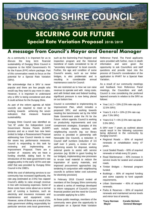# **DUNGOG SHIRE COUNCIL**

## **SECURING OUR FUTURE Special Rate Variation Proposal 2018/2019**

#### **A message from Council's Mayor and General Manager**

As a community it is important for us to discuss the long term financial sustainability of Dungog Shire Council in response to the NSW Government's Fit for the Future (FFF) reform package. Part of this conversation needs to focus on the potential for a Special Rate Variation (SRV).

We acknowledge that a SRV is never popular and there are few people who would say they want to pay more in rates. However, it is important to understand why a SRV is being considered and what it could achieve for the Dungog Shire.

As part of the reform agenda all NSW councils are required to meet or be working towards achieving the seven indicators that measure financial sustainability.

Dungog Shire Council was identified as "not fit" under the Independent Local Government Review Panels (ILGRP) process and as a result has now been invited to lodge a Reassessment Proposal addressing how Council intends to meet the seven key performance measures. Council is responding to this task by reviewing and implementing an Improvement Proposal. There are a number of reasons why we have a funding shortfall, dating back to the introduction of the state government's rate pegging policy in the early 1970's and rate relief that was provided by Dungog Shire Council in the 1980's.

While the cost of delivering services to our community has increased significantly, the rate peg (estimated at 2.5%) has capped Council's ability to raise enough revenue in line with increasing expenses. Some of these costs have come about as a normal part of running a business, such as electricity and insurance increases and maintenance and equipment costs. However, some of these are a result of the state government shifting responsibility for particular services onto local government,

such as the Swimming Pool Register and inspection program and the historical transferal of roads considered to be of "secondary importance" to local councils. Further, the age and condition of some Council's assets, such as our timber bridges, is also problematic and is resulting in considerable annual maintenance costs for Council.

We are restricted as to how we can raise revenue to operate and with rising costs, and with limited state and federal funding, significant pressure is now being placed on our bottom line.

Council is committed to implementing its Improvement Plan, which includes a proposed SRV, and working towards meeting the benchmarks set by the NSW State Government under the Fit for the Future reform agenda. Council is working on productivity improvements and cost containment strategies. Examples of this work include sharing services with neighbouring councils (eg: our library service is provided in partnership with Newcastle City Council), a reduction in Council staff numbers (reduction of 3.6 staff over 3 years), a review of nonperforming assets for disposal, seeking external grants to assist with service provision (eg: \$3.8M in grant funding for our bridges), implementing new processes to re-use road material to reduce the importation of quarry materials, and improved procurement approaches (eg: tendering in conjunction with neighbouring councils to achieve better cost outcomes for electricity provision)

In February 2018 Council invited all members of the Dungog Shire community to attend a series of meetings developed to inform ratepayers of Council's current financial position and the need for Council to consider applying for a SRV.

At these public meetings, members of the community were given the opportunity to participate on a Special Rate Variation

Reference Panel. The Panel applicants were provided with further, more in depth information and were given the opportunity to ask Councillors and staff questions and provide input into the process of Council's consideration of the application to IPART for a Special Rate Variation.

As a result of our community meetings and feedback from Reference Panel meetings, the Councillors and staff, Council is now considering the preferred tapered scenario in relation to the SRV as follows:

- Year  $1 \& 2 = 15\%$  (2.5% rate cap plus 12.5% SRV)
- Years 3, 4 &  $5 = 10% (2.5% \text{ rate cap})$ plus 7.5% SRV)
- Years  $6 \& 7 = 6\%$  (2.5% rate cap plus 3.5% SRV).

A SRV over 7 years as outlined above would result in the following outcomes being delivered to the community by Dungog Council:-

- Regional Roads 65% of required renewals or rehabilitation every 47 years.
- Local Sealed Roads 60% of required renewals or rehab every 51 years.
- Road Maintenance 40% increase in service levels for sealed and unsealed roads.
- Timber Bridges Renewal program funded.
- $\bullet$  Buildings 80% of required funding and some capacity to fund upgrade requirements.
- Urban Stormwater 45% of required renewals.
- Parks & Reserves 65% of required renewals and maintained service levels and minor loss of amenity.

| <b>Tracy Norman</b> | <b>Coralie Nichols</b> |
|---------------------|------------------------|
| Mayor               | <b>General Manager</b> |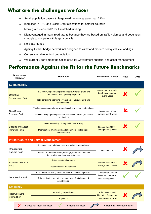### **What are the challenges we face?**

- $\Rightarrow$  Small population base with large road network greater than 720 km.
- $\Rightarrow$  Inequities in FAG and Block Grant allocations for smaller councils
- $\Rightarrow$  Many grants required \$ for \$ matched funding
- $\Rightarrow$  Disadvantaged in many road grants because they are based on traffic volumes and population, struggle to compete with larger councils.
- $\Rightarrow$  No State Roads
- $\Rightarrow$  Ageing Timber bridge network not designed to withstand modern heavy vehicle loadings.
- $\Rightarrow$  Currently unable to fund depreciation
- $\Rightarrow$  We currently don't meet the Office of Local Government financial and asset management

#### **Performance Against the Fit for the Future Benchmarks**

| <b>Government</b><br>Indicator                    | <b>Definition</b>                                                                                     | <b>Benchmark to meet</b>                                       | <b>Now</b> | 2026 |
|---------------------------------------------------|-------------------------------------------------------------------------------------------------------|----------------------------------------------------------------|------------|------|
| <b>Sustainability</b>                             |                                                                                                       |                                                                |            |      |
| <b>Operating</b>                                  | Total continuing operating revenue (exc. Capital grants and<br>contributions) less operating expenses | Greater than or equal to<br>break-even-average<br>over 3 years |            |      |
| <b>Performance Ratio</b>                          | Total continuing operating revenue (exc. Capital grants and<br>contributions                          |                                                                |            |      |
| Own Source                                        | Total continuing operating revenue less all grants and contributions                                  | Greater than 60% -                                             |            |      |
| <b>Revenue Ratio</b>                              | Total continuing operating revenue inclusive of capital grants and<br>contributions                   | average over 3 years                                           |            |      |
|                                                   | Asset renewals (building and infrastructure)                                                          |                                                                |            |      |
| <b>Building and Asset</b><br><b>Renewal Ratio</b> | Depreciation, amortisation and impairment (building and<br>infrastructure)                            | Greater than 100% -<br>average over 3 years.                   |            |      |
|                                                   | <b>Infrastructure and Service Management</b>                                                          |                                                                |            |      |
|                                                   | Estimated cost to bring assets to a satisfactory condition                                            |                                                                |            |      |
| Infrastructure<br><b>Backlog Ratio</b>            | Total (WDV) of infrastructure, buildings, other structures and<br>depreciable land improvement assets | Less than 2%                                                   |            |      |
| <b>Asset Maintenance</b>                          | Actual asset maintenance                                                                              | Greater than 100% -                                            |            |      |
| Ratio                                             | Required asset maintenance                                                                            | average over 3 years                                           |            |      |
|                                                   | Cost of debt service (interest expense & principal payments)                                          | Greater than 0% and                                            |            |      |
| Debt Service Ratio                                | Total continuing operating revenue (exc. Capital grants &<br>contributions)                           | less than or equal to<br>20% - average over                    |            |      |
| <b>Efficiency</b>                                 |                                                                                                       |                                                                |            |      |
| <b>Real Operating</b>                             | <b>Operating Expenditure</b>                                                                          | A decrease in Real<br><b>Operating Expenditure</b>             |            |      |
| Expenditure                                       | Population                                                                                            | per capita over time                                           |            |      |
| X                                                 | = Meets indicator<br>= Does not meet indicator                                                        | = Trending to meet indicator                                   |            |      |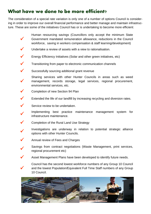#### **What have we done to be more efficient?**

The consideration of a special rate variation is only one of a number of options Council is considering in order to improve our overall financial performance and better manage and maintain infrastructure. These are some of the initiatives Council has or is undertaking to become more efficient:

- $\checkmark$ Human resourcing savings (Councillors only accept the minimum State Government mandated remuneration allowance, reductions in the Council workforce, saving in workers compensation & staff learning/development)
- Undertake a review of assets with a view to rationalisation.
- $\checkmark$  Energy Efficiency Initiatives (Solar and other green initiatives, etc)
- $\checkmark$  Transitioning from paper to electronic communication channels
- $\checkmark$  Successfully sourcing additional grant revenue
- $\checkmark$ Sharing services with other Hunter Councils in areas such as weed management, records storage, legal services, regional procurement, environmental services, etc.
- Completion of new Section 94 Plan
- $\checkmark$  Extended the life of our landfill by increasing recycling and diversion rates.
- $\checkmark$  Service review to be undertaken.
	- Implementing best practice maintenance management system for infrastructure maintenance.
- ◆ Completion of the Rural Land Use Strategy
	- Investigations are underway in relation to potential strategic alliance options with other Hunter Councils.
- $\sqrt{\phantom{a}}$  Annual review of Fees and Charges

 $\checkmark$ 

- Savings from contract negotiations (Waste Management, print services, regional procurement etc)
- Asset Management Plans have been developed to identify future needs.
- Council has the second lowest workforce numbers of any Group 10 Council and the lowest Population/Equivalent Full Time Staff numbers of any Group 10 Council.

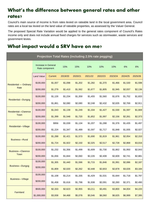## **What's the difference between general rates and other rates?**

Council's main source of income is from rates levied on rateable land in the local government area. Council rates are a local tax levied on the land value of rateable properties, as assessed by the Valuer General.

The proposed Special Rate Variation would be applied to the general rates component of Council's Rates income only and does not include annual fixed charges for services such as stormwater, waste services and government levies.

#### **What impact would a SRV have on me?**

| Projection Total Rates (including 2.5% rate pegging) |                                              |                |         |         |         |         |         |         |         |
|------------------------------------------------------|----------------------------------------------|----------------|---------|---------|---------|---------|---------|---------|---------|
|                                                      | <b>Increase in General</b><br>Rate component |                | 15%     | 15%     | 10%     | 10%     | 10%     | 6%      | 6%      |
|                                                      | <b>Land Value</b>                            | <b>Current</b> | 2019/20 | 2020/21 | 2021/22 | 2022/23 | 2023/24 | 2024/25 | 2025/26 |
| <b>Residential - Ordinary</b><br>Rate                | \$100,000                                    | \$1,007        | \$1,098 | \$1,202 | \$1,282 | \$1,370 | \$1,466 | \$1,530 | \$1,598 |
|                                                      | \$200,000                                    | \$1,279        | \$1,410 | \$1,562 | \$1,677 | \$1,805 | \$1,945 | \$2,037 | \$2,136 |
| Residential-Dungog                                   | \$100,000                                    | \$1,126        | \$1,234 | \$1,359 | \$1,455 | \$1,560 | \$1,676 | \$1,752 | \$1,833 |
|                                                      | \$200,000                                    | \$1,861        | \$2,080 | \$2,080 | \$2,248 | \$2,432 | \$2,635 | \$2,769 | \$2,911 |
| Residential-Clarence<br><b>Town</b>                  | \$100,000                                    | \$1,043        | \$1,139 | \$1,249 | \$1,334 | \$1,427 | \$1,530 | \$1,597 | \$1,669 |
|                                                      | \$200,000                                    | \$1,399        | \$1,548 | \$1,720 | \$1,852 | \$1,997 | \$2,156 | \$2,261 | \$2,373 |
|                                                      | \$100,000                                    | \$956          | \$1,039 | \$1,134 | \$1,207 | \$1,288 | \$1,376 | \$1,435 | \$1,497 |
| Residential-Village                                  | \$200,000                                    | \$1,224        | \$1,347 | \$1,489 | \$1,597 | \$1,717 | \$1,848 | \$1,935 | \$2,027 |
| <b>Business-Rural</b>                                | \$100,000                                    | \$1,288        | \$1,421 | \$1,573 | \$1,690 | \$1,819 | \$1,961 | \$2,054 | \$2,153 |
|                                                      | \$200,000                                    | \$1,724        | \$1,922 | \$2,150 | \$2,325 | \$2,517 | \$2,728 | \$2,868 | \$3,016 |
| <b>Business-Clarence</b>                             | \$100,000                                    | \$1,232        | \$1,356 | \$1,499 | \$1,609 | \$1,730 | \$1,862 | \$1,950 | \$2,043 |
| Town                                                 | \$200,000                                    | \$1,656        | \$1,844 | \$2,060 | \$2,226 | \$2,408 | \$2,609 | \$2,741 | \$2,881 |
| Business-Dungog                                      | \$100,000                                    | \$1,305        | \$1,440 | \$1,596 | \$1,715 | \$1,846 | \$1,991 | \$2,086 | \$2,187 |
|                                                      | \$200,000                                    | \$1,809        | \$2,020 | \$2,262 | \$2,448 | \$2,653 | \$2,878 | \$3,026 | \$3,184 |
| <b>Business-Village</b>                              | \$100,000                                    | \$1,108        | \$1,214 | \$1,335 | \$1,429 | \$1,531 | \$1,644 | \$1,718 | \$1,797 |
|                                                      | \$200,000                                    | \$1,458        | \$1,616 | \$1,798 | \$1,938 | \$2,091 | \$2,260 | \$2,371 | \$2,490 |
| Farmland                                             | \$500,000                                    | \$2,333        | \$2,623 | \$2,955 | \$3,211 | \$3,491 | \$3,800 | \$4,004 | \$4,220 |
|                                                      | \$1,000,000                                  | \$3,938        | \$4,468 | \$5,078 | \$5,546 | \$6,060 | \$6,625 | \$6,999 | \$7,395 |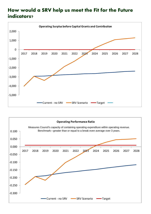## **How would a SRV help us meet the Fit for the Future indicators?**



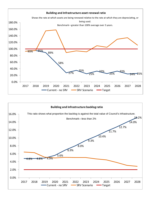